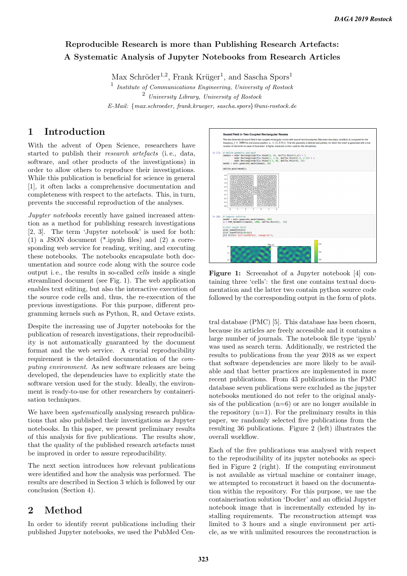## Reproducible Research is more than Publishing Research Artefacts: A Systematic Analysis of Jupyter Notebooks from Research Articles

Max Schröder<sup>1,2</sup>, Frank Krüger<sup>1</sup>, and Sascha Spors<sup>1</sup>

<sup>1</sup> Institute of Communications Engineering, University of Rostock <sup>2</sup> University Library, University of Rostock E-Mail: {max.schroeder, frank.krueger, sascha.spors}@uni-rostock.de

### 1 Introduction

With the advent of Open Science, researchers have started to publish their research artefacts (i. e., data, software, and other products of the investigations) in order to allow others to reproduce their investigations. While this publication is beneficial for science in general [1], it often lacks a comprehensive documentation and completeness with respect to the artefacts. This, in turn, prevents the successful reproduction of the analyses.

Jupyter notebooks recently have gained increased attention as a method for publishing research investigations [2, 3]. The term 'Jupyter notebook' is used for both: (1) a JSON document (\*.ipynb files) and (2) a corresponding web service for reading, writing, and executing these notebooks. The notebooks encapsulate both documentation and source code along with the source code output i. e., the results in so-called cells inside a single streamlined document (see Fig. 1). The web application enables text editing, but also the interactive execution of the source code cells and, thus, the re-execution of the previous investigations. For this purpose, different programming kernels such as Python, R, and Octave exists.

Despite the increasing use of Jupyter notebooks for the publication of research investigations, their reproducibility is not automatically guaranteed by the document format and the web service. A crucial reproducibility requirement is the detailed documentation of the computing environment. As new software releases are being developed, the dependencies have to explicitly state the software version used for the study. Ideally, the environment is ready-to-use for other researchers by containerisation techniques.

We have been *systematically* analysing research publications that also published their investigations as Jupyter notebooks. In this paper, we present preliminary results of this analysis for five publications. The results show, that the quality of the published research artefacts must be improved in order to assure reproducibility.

The next section introduces how relevant publications were identified and how the analysis was performed. The results are described in Section 3 which is followed by our conclusion (Section 4).

# 2 Method

In order to identify recent publications including their published Jupyter notebooks, we used the PubMed Cen-



Figure 1: Screenshot of a Jupyter notebook [4] containing three 'cells': the first one contains textual documentation and the latter two contain python source code followed by the corresponding output in the form of plots.

tral database (PMC) [5]. This database has been chosen, because its articles are freely accessible and it contains a large number of journals. The notebook file type 'ipynb' was used as search term. Additionally, we restricted the results to publications from the year 2018 as we expect that software dependencies are more likely to be available and that better practices are implemented in more recent publications. From 43 publications in the PMC database seven publications were excluded as the jupyter notebooks mentioned do not refer to the original analysis of the publication  $(n=6)$  or are no longer available in the repository  $(n=1)$ . For the preliminary results in this paper, we randomly selected five publications from the resulting 36 publications. Figure 2 (left) illustrates the overall workflow.

Each of the five publications was analysed with respect to the reproducibility of its jupyter notebooks as specified in Figure 2 (right). If the computing environment is not available as virtual machine or container image, we attempted to reconstruct it based on the documentation within the repository. For this purpose, we use the containerisation solution 'Docker' and an official Jupyter notebook image that is incrementally extended by installing requirements. The reconstruction attempt was limited to 3 hours and a single environment per article, as we with unlimited resources the reconstruction is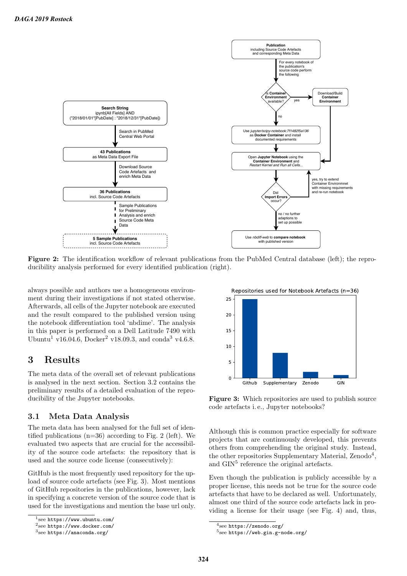

Figure 2: The identification workflow of relevant publications from the PubMed Central database (left); the reproducibility analysis performed for every identified publication (right).

always possible and authors use a homogeneous environment during their investigations if not stated otherwise. Afterwards, all cells of the Jupyter notebook are executed and the result compared to the published version using the notebook differentiation tool 'nbdime'. The analysis in this paper is performed on a Dell Latitude 7490 with Ubuntu<sup>1</sup> v16.04.6, Docker<sup>2</sup> v18.09.3, and conda<sup>3</sup> v4.6.8.

### 3 Results

The meta data of the overall set of relevant publications is analysed in the next section. Section 3.2 contains the preliminary results of a detailed evaluation of the reproducibility of the Jupyter notebooks.

#### 3.1 Meta Data Analysis

The meta data has been analysed for the full set of identified publications  $(n=36)$  according to Fig. 2 (left). We evaluated two aspects that are crucial for the accessibility of the source code artefacts: the repository that is used and the source code license (consecutively):

GitHub is the most frequently used repository for the upload of source code artefacts (see Fig. 3). Most mentions of GitHub repositories in the publications, however, lack in specifying a concrete version of the source code that is used for the investigations and mention the base url only.



Figure 3: Which repositories are used to publish source code artefacts i. e., Jupyter notebooks?

Although this is common practice especially for software projects that are continuously developed, this prevents others from comprehending the original study. Instead, the other repositories Supplementary Material, Zenodo<sup>4</sup>, and GIN<sup>5</sup> reference the original artefacts.

Even though the publication is publicly accessible by a proper license, this needs not be true for the source code artefacts that have to be declared as well. Unfortunately, almost one third of the source code artefacts lack in providing a license for their usage (see Fig. 4) and, thus,

<sup>1</sup> see https://www.ubuntu.com/

<sup>2</sup> see https://www.docker.com/

 $^3$ see <code>https://anaconda.org/</code>

<sup>4</sup> see https://zenodo.org/

<sup>5</sup> see https://web.gin.g-node.org/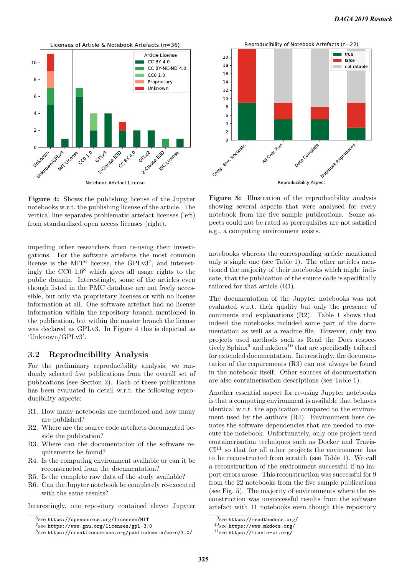

Figure 4: Shows the publishing license of the Jupyter notebooks w.r.t. the publishing license of the article. The vertical line separates problematic artefact licenses (left) from standardized open access licenses (right).

impeding other researchers from re-using their investigations. For the software artefacts the most common license is the MIT<sup>6</sup> license, the GPLv3<sup>7</sup>, and interestingly the CC0  $1.0^8$  which gives all usage rights to the public domain. Interestingly, some of the articles even though listed in the PMC database are not freely accessible, but only via proprietary licenses or with no license information at all. One software artefact had no license information within the repository branch mentioned in the publication, but within the master branch the license was declared as GPLv3. In Figure 4 this is depicted as 'Unknown/GPLv3'. see of the publications from the seeds of the seeds of the seeds of the second of the seeds of the second of the seeds of the second of the second of the second of the second of the second of the second of the second of t

#### 3.2 Reproducibility Analysis

For the preliminary reproducibility analysis, we randomly selected five publications from the overall set of publications (see Section 2). Each of these publications has been evaluated in detail w.r.t. the following reproducibility aspects:

- R1. How many notebooks are mentioned and how many are published?
- R2. Where are the source code artefacts documented beside the publication?
- R3. Where can the documentation of the software requirements be found?
- R4. Is the computing environment available or can it be reconstructed from the documentation?
- R5. Is the complete raw data of the study available?
- R6. Can the Jupyter notebook be completely re-executed with the same results?

Interestingly, one repository contained eleven Jupyter



Figure 5: Illustration of the reproducibility analysis showing several aspects that were analysed for every notebook from the five sample publications. Some aspects could not be rated as prerequisites are not satisfied e.g., a computing environment exists.

notebooks whereas the corresponding article mentioned only a single one (see Table 1). The other articles mentioned the majority of their notebooks which might indicate, that the publication of the source code is specifically tailored for that article (R1).

The documentation of the Jupyter notebooks was not evaluated w.r.t. their quality but only the presence of comments and explanations (R2). Table 1 shows that indeed the notebooks included some part of the documentation as well as a readme file. However, only two projects used methods such as Read the Docs respectively Sphinx<sup>9</sup> and mkdocs<sup>10</sup> that are specifically tailored for extended documentation. Interestingly, the documentation of the requirements (R3) can not always be found in the notebook itself. Other sources of documentation are also containerisation descriptions (see Table 1).

Another essential aspect for re-using Jupyter notebooks is that a computing environment is available that behaves identical w.r.t. the application compared to the environment used by the authors (R4). Environment here denotes the software dependencies that are needed to execute the notebook. Unfortunately, only one project used containerisation techniques such as Docker and Travis- $CI<sup>11</sup>$  so that for all other projects the environment has to be reconstructed from scratch (see Table 1). We call a reconstruction of the environment successful if no import errors arose. This reconstruction was successful for 9 from the 22 notebooks from the five sample publications (see Fig. 5). The majority of environments where the reconstruction was unsuccessful results from the software artefact with 11 notebooks even though this repository

 $^6$ see https://opensource.org/licenses/MIT

<sup>7</sup> see https://www.gnu.org/licenses/gpl-3.0

 $^8{\rm see~https://creativecommons.org/licenses/by/2.50/2.0/2.00}/\rm{ex}$ 

<sup>9</sup> see https://readthedocs.org/

 $10$ see https://www.mkdocs.org/

 $^{11}$ see https://travis-ci.org/